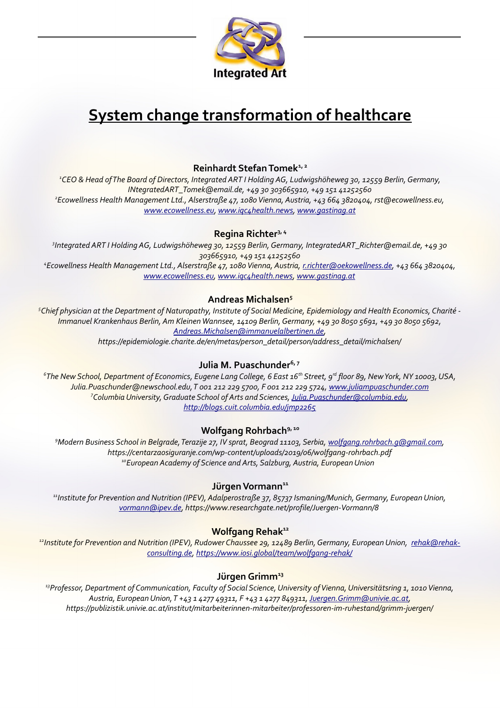

# **System change transformation of healthcare**

# **Reinhardt Stefan Tomek1, 2**

*<sup>1</sup>CEO & Head of The Board of Directors, Integrated ART I Holding AG, Ludwigshöheweg 30, 12559 Berlin, Germany, INtegratedART\_Tomek@email.de, +49 30 303665910, +49 151 41252560 2 Ecowellness Health Management Ltd., Alserstraße 47, 1080 Vienna, Austria, +43 664 3820404, rst@ecowellness.eu, [www.ecowellness.eu,](http://www.ecowellness.eu/) [www.iqc4health.news,](http://www.iqc4health.news/) [www.gastinag.at](http://www.gastinag.at/)*

## **Regina Richter3, 4**

*3 Integrated ART I Holding AG, Ludwigshöheweg 30, 12559 Berlin, Germany, IntegratedART\_Richter@email.de, +49 30 303665910, +49 151 41252560 4 Ecowellness Health Management Ltd., Alserstraße 47, 1080 Vienna, Austria, [r.richter@oekowellness.de,](mailto:r.richter@oekowellness.de) +43 664 3820404, [www.ecowellness.eu,](http://www.ecowellness.eu/) [www.iqc4health.news,](http://www.iqc4health.news/) [www.gastinag.at](http://www.gastinag.at/)*

# **Andreas Michalsen<sup>5</sup>**

*<sup>5</sup>Chief physician at the Department of Naturopathy, Institute of Social Medicine, Epidemiology and Health Economics, Charité - Immanuel Krankenhaus Berlin, Am Kleinen Wannsee, 14109 Berlin, Germany, +49 30 8050 5691, +49 30 8050 5692, [Andreas.Michalsen@immanuelalbertinen.de,](mailto:Andreas.Michalsen@immanuelalbertinen.de)*

*https://epidemiologie.charite.de/en/metas/person\_detail/person/address\_detail/michalsen/*

# **Julia M. Puaschunder6, 7**

*6 The New School, Department of Economics, Eugene Lang College, 6 East 16th Street, 9rd floor 89, New York, NY 10003, USA, Julia.Puaschunder@newschool.edu, T 001 212 229 5700, F 001 212 229 5724, [www.juliampuaschunder.com](http://www.juliampuaschunder.com/) <sup>7</sup>Columbia University, Graduate School of Arts and Sciences, [Julia.Puaschunder@columbia.edu,](mailto:Julia.Puaschunder@columbia.edu) <http://blogs.cuit.columbia.edu/jmp2265>*

#### **Wolfgang Rohrbach9, 10**

*<sup>9</sup>Modern Business School in Belgrade, Terazije 27, IV sprat, Beograd 11103, Serbia, [wolfgang.rohrbach.g@gmail.com,](mailto:wolfgang.rohrbach.g@gmail.com) https://centarzaosiguranje.com/wp-content/uploads/2019/06/wolfgang-rohrbach.pdf <sup>10</sup>European Academy of Science and Arts, Salzburg, Austria, European Union* 

#### **Jürgen Vormann<sup>11</sup>**

*<sup>11</sup>Institute for Prevention and Nutrition (IPEV), Adalperostraße 37, 85737 Ismaning/Munich, Germany, European Union, [vormann@ipev.de,](mailto:vormann@ipev.de) https://www.researchgate.net/profile/Juergen-Vormann/8* 

#### **Wolfgang Rehak<sup>12</sup>**

<sup>12</sup>*Institute for Prevention and Nutrition (IPEV), Rudower Chaussee 29, 12489 Berlin, Germany, European Union, [rehak@rehak](mailto:rehak@rehak-consulting.de)[consulting.de,](mailto:rehak@rehak-consulting.de)<https://www.iosi.global/team/wolfgang-rehak/>*

#### **Jürgen Grimm<sup>13</sup>**

*<sup>13</sup>Professor, Department of Communication, Faculty of Social Science, University of Vienna, Universitätsring 1, 1010 Vienna, Austria, European Union, T +43 1 4277 49311, F +43 1 4277 849311, [Juergen.Grimm@univie.ac.at,](mailto:Juergen.Grimm@univie.ac.at) https://publizistik.univie.ac.at/institut/mitarbeiterinnen-mitarbeiter/professoren-im-ruhestand/grimm-juergen/*